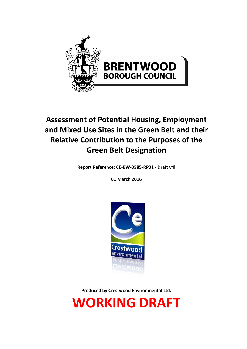

# **Assessment of Potential Housing, Employment and Mixed Use Sites in the Green Belt and their Relative Contribution to the Purposes of the Green Belt Designation**

**Report Reference: CE-BW-0585-RP01 - Draft v4i**

**01 March 2016**



**Produced by Crestwood Environmental Ltd.**

**WORKING DRAFT**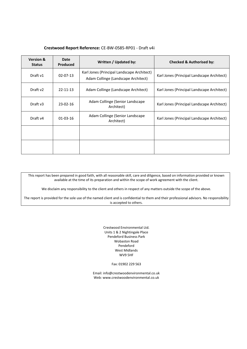#### **Crestwood Report Reference:** CE-BW-0585-RP01 - Draft v4i

| <b>Version &amp;</b><br><b>Status</b> | Date<br>Produced | Written / Updated by:                                                             | <b>Checked &amp; Authorised by:</b>        |
|---------------------------------------|------------------|-----------------------------------------------------------------------------------|--------------------------------------------|
| Draft v1                              | $02 - 07 - 13$   | Karl Jones (Principal Landscape Architect)<br>Adam Collinge (Landscape Architect) | Karl Jones (Principal Landscape Architect) |
| Draft v2                              | $22 - 11 - 13$   | Adam Collinge (Landscape Architect)                                               | Karl Jones (Principal Landscape Architect) |
| Draft v3                              | 23-02-16         | Adam Collinge (Senior Landscape)<br>Architect)                                    | Karl Jones (Principal Landscape Architect) |
| Draft v4                              | $01-03-16$       | Adam Collinge (Senior Landscape)<br>Architect)                                    | Karl Jones (Principal Landscape Architect) |
|                                       |                  |                                                                                   |                                            |
|                                       |                  |                                                                                   |                                            |

This report has been prepared in good faith, with all reasonable skill, care and diligence, based on information provided or known available at the time of its preparation and within the scope of work agreement with the client.

We disclaim any responsibility to the client and others in respect of any matters outside the scope of the above.

The report is provided for the sole use of the named client and is confidential to them and their professional advisors. No responsibility is accepted to others.

> Crestwood Environmental Ltd. Units 1 & 2 Nightingale Place Pendeford Business Park Wobaston Road Pendeford West Midlands WV9 5HF

> > Fax: 01902 229 563

Email[: info@crestwoodenvironmental.co.uk](mailto:info@crestwoodenvironmental.co.uk) Web: www.crestwoodenvironmental.co.uk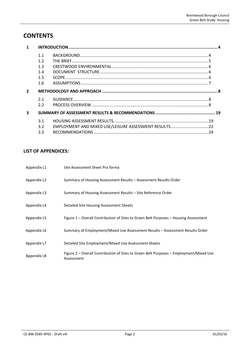## **CONTENTS**

|                         | 1.1<br>1.2<br>1.3<br>1.4<br>1.5<br>1.6 |  |
|-------------------------|----------------------------------------|--|
| $\overline{2}$          |                                        |  |
|                         | 2.1<br>2.2                             |  |
| $\overline{\mathbf{3}}$ |                                        |  |
|                         | 3.1<br>3.2<br>3.3                      |  |

## **LIST OF APPENDICES:**

| Appendix L1 | Site Assessment Sheet Pro forma                                                                      |
|-------------|------------------------------------------------------------------------------------------------------|
| Appendix L2 | Summary of Housing Assessment Results – Assessment Results Order                                     |
| Appendix L3 | Summary of Housing Assessment Results – Site Reference Order                                         |
| Appendix L4 | Detailed Site Housing Assessment Sheets                                                              |
| Appendix L5 | Figure 1 – Overall Contribution of Sites to Green Belt Purposes – Housing Assessment                 |
| Appendix L6 | Summary of Employment/Mixed Use Assessment Results – Assessment Results Order                        |
| Appendix L7 | Detailed Site Employment/Mixed Use Assessment Sheets                                                 |
| Appendix L8 | Figure 2 – Overall Contribution of Sites to Green Belt Purposes – Employment/Mixed Use<br>Assessment |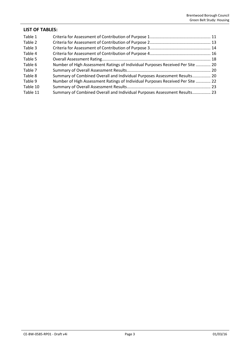| <b>LIST OF TABLES:</b> |                                                                                |  |  |
|------------------------|--------------------------------------------------------------------------------|--|--|
| Table 1                |                                                                                |  |  |
| Table 2                |                                                                                |  |  |
| Table 3                |                                                                                |  |  |
| Table 4                |                                                                                |  |  |
| Table 5                |                                                                                |  |  |
| Table 6                | Number of High Assessment Ratings of Individual Purposes Received Per Site  20 |  |  |
| Table 7                |                                                                                |  |  |
| Table 8                | Summary of Combined Overall and Individual Purposes Assessment Results 20      |  |  |
| Table 9                | Number of High Assessment Ratings of Individual Purposes Received Per Site  22 |  |  |
| Table 10               |                                                                                |  |  |
| Table 11               | Summary of Combined Overall and Individual Purposes Assessment Results 23      |  |  |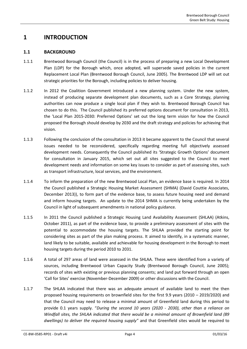## <span id="page-4-1"></span><span id="page-4-0"></span>**1 INTRODUCTION**

## **1.1 BACKGROUND**

- 1.1.1 Brentwood Borough Council (the Council) is in the process of preparing a new Local Development Plan (LDP) for the Borough which, once adopted, will supersede saved policies in the current Replacement Local Plan (Brentwood Borough Council, June 2005). The Brentwood LDP will set out strategic priorities for the Borough, including policies to deliver housing.
- 1.1.2 In 2012 the Coalition Government introduced a new planning system. Under the new system, instead of producing separate development plan documents, such as a Core Strategy, planning authorities can now produce a single local plan if they wish to. Brentwood Borough Council has chosen to do this. The Council published its preferred options document for consultation in 2013, the 'Local Plan 2015-2030: Preferred Options' set out the long term vision for how the Council proposed the Borough should develop by 2030 and the draft strategy and policies for achieving that vision.
- 1.1.3 Following the conclusion of the consultation in 2013 it became apparent to the Council that several issues needed to be reconsidered, specifically regarding meeting full objectively assessed development needs. Consequently the Council published its 'Strategic Growth Options' document for consultation in January 2015, which set out all sites suggested to the Council to meet development needs and information on some key issues to consider as part of assessing sites, such as transport infrastructure, local services, and the environment.
- <span id="page-4-2"></span>1.1.4 To inform the preparation of the new Brentwood Local Plan, an evidence base is required. In 2014 the Council published a Strategic Housing Market Assessment (SHMA) (David Couttie Associates, December 2013)), to form part of the evidence base, to assess future housing need and demand and inform housing targets. An update to the 2014 SHMA is currently being undertaken by the Council in light of subsequent amendments in national policy guidance.
- 1.1.5 In 2011 the Council published a Strategic Housing Land Availability Assessment (SHLAA) (Atkins, October 2011), as part of the evidence base, to provide a preliminary assessment of sites with the potential to accommodate the housing targets. The SHLAA provided the starting point for considering sites as part of the plan making process. It aimed to identify, in a systematic manner, land likely to be suitable, available and achievable for housing development in the Borough to meet housing targets during the period 2010 to 2031.
- 1.1.6 A total of 297 areas of land were assessed in the SHLAA. These were identified from a variety of sources, including Brentwood Urban Capacity Study (Brentwood Borough Council, June 2005); records of sites with existing or previous planning consents; and land put forward through an open 'Call for Sites' exercise (November-December 2009) or other discussions with the Council.
- 1.1.7 The SHLAA indicated that there was an adequate amount of available land to meet the then proposed housing requirements on brownfield sites for the first 9.9 years (2010 – 2019/2020) and that the Council may need to release a minimal amount of Greenfield land during this period to provide 0.1 years supply. "*During the second 10 years (2020 - 2030), other than a reliance on Windfall sites, the SHLAA indicated that there would be a minimal amount of Brownfield land (89 dwellings) to deliver the required housing supply"* and that Greenfield sites would be required to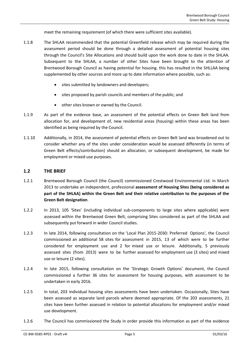meet the remaining requirement (of which there were sufficient sites available).

- 1.1.8 The SHLAA recommended that the potential Greenfield release which may be required during the assessment period should be done through a detailed assessment of potential housing sites through the Council's Site Allocations and should build upon the work done to date in the SHLAA. Subsequent to the SHLAA, a number of other Sites have been brought to the attention of Brentwood Borough Council as having potential for housing. this has resulted in the SHLLAA being supplemented by other sources and more up to date information where possible, such as:
	- **•** sites submitted by landowners and developers;
	- sites proposed by parish councils and members of the public; and
	- other sites known or owned by the Council.
- 1.1.9 As part of the evidence base, an assessment of the potential effects on Green Belt land from allocation for, and development of, new residential areas (housing) within these areas has been identified as being required by the Council.
- 1.1.10 Additionally, in 2014, the assessment of potential effects on Green Belt land was broadened out to consider whether any of the sites under consideration would be assessed differently (in terms of Green Belt effects/contribution) should an allocation, or subsequent development, be made for employment or mixed-use purposes.

#### <span id="page-5-0"></span>**1.2 THE BRIEF**

- 1.2.1 Brentwood Borough Council (the Council) commissioned Crestwood Environmental Ltd. in March 2013 to undertake an independent, professional **assessment of Housing Sites (being considered as part of the SHLAA) within the Green Belt and their relative contribution to the purposes of the Green Belt designation**.
- 1.2.2 In 2013, 105 'Sites' (including individual sub-components to large sites where applicable) were assessed within the Brentwood Green Belt, comprising Sites considered as part of the SHLAA and subsequently put forward in wider Council studies.
- 1.2.3 In late 2014, following consultation on the 'Local Plan 2015-2030: Preferred Options', the Council commissioned an additional 58 sites for assessment in 2015, 13 of which were to be further considered for employment use and 2 for mixed use or leisure. Additionally, 5 previously assessed sites (from 2013) were to be further assessed for employment use (3 sites) and mixed use or leisure (2 sites).
- 1.2.4 In late 2015, following consultation on the 'Strategic Growth Options' document, the Council commissioned a further 36 sites for assessment for housing purposes, with assessment to be undertaken in early 2016.
- 1.2.5 In total, 203 individual housing sites assessments have been undertaken. Occasionally, Sites have been assessed as separate land parcels where deemed appropriate. Of the 203 assessments, 21 sites have been further assessed in relation to potential allocations for employment and/or mixed use development.
- 1.2.6 The Council has commissioned the Study in order provide this information as part of the evidence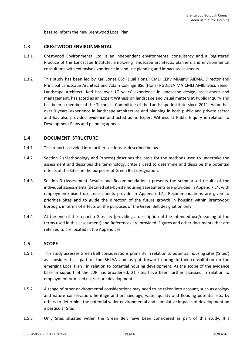base to inform the new Brentwood Local Plan.

#### <span id="page-6-0"></span>**1.3 CRESTWOOD ENVIRONMENTAL**

- 1.3.1 Crestwood Environmental Ltd. is an independent environmental consultancy and a Registered Practice of the Landscape Institute, employing landscape architects, planners and environmental consultants with extensive experience in land use planning and impact assessments.
- 1.3.2 This study has been led by Karl Jones BSc (Dual Hons.) CMLI CEnv MIAgrM AIEMA, Director and Principal Landscape Architect and Adam Collinge BSc (Hons) PGDipLA MA CMLI AMIEnvSci, Senior Landscape Architect. Karl has over 17 years' experience in landscape design, assessment and management, has acted as an Expert Witness on landscape and visual matters at Public Inquiry and has been a member of the Technical Committee of the Landscape Institute since 2011. Adam has over 9 years' experience in landscape architecture and planning in both public and private sector and has also provided evidence and acted as an Expert Witness at Public Inquiry in relation to Development Plans and planning appeals.

## <span id="page-6-1"></span>**1.4 DOCUMENT STRUCTURE**

- 1.4.1 This report is divided into further sections as described below.
- 1.4.2 Section 2 (Methodology and Process) describes the basis for the methods used to undertake the assessment and describes the terminology, criteria used to determine and describe the potential effects of the Sites on the purposes of Green Belt designation.
- 1.4.3 Section 3 (Assessment Results and Recommendations) presents the summarised results of the individual assessments (detailed site-by-site housing assessments are provided in Appendix L4, with employment/mixed use assessments provide in Appendix L7). Recommendations are given to prioritise Sites and to guide the direction of the future growth in housing within Brentwood Borough, in terms of effects on the purposes of the Green Belt designation only.
- 1.4.4 At the end of the report a Glossary (providing a description of the intended use/meaning of the terms used in this assessment) and References are provided. Figures and other documents that are referred to are located in the Appendices.

#### <span id="page-6-2"></span>**1.5 SCOPE**

- 1.5.1 This study assesses Green Belt considerations primarily in relation to potential housing sites ('Sites') as considered as part of the SHLAA and as put forward during further consultation on the emerging Local Plan , in relation to potential housing development. As the scope of the evidence base in support of the LDP has broadened, 21 sites have been further assessed in relation to employment or mixed use/leisure development.
- 1.5.2 A range of other environmental considerations may need to be taken into account, such as ecology and nature conservation, heritage and archaeology, water quality and flooding potential etc. by others to determine the potential wider environmental and cumulative impacts of development on a particular Site.
- 1.5.3 Only Sites situated within the Green Belt have been considered as part of this study. It is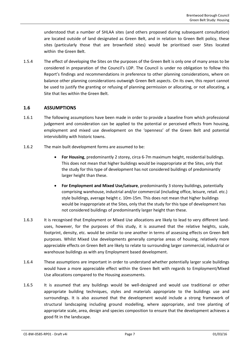understood that a number of SHLAA sites (and others proposed during subsequent consultation) are located outside of land designated as Green Belt, and in relation to Green Belt policy, these sites (particularly those that are brownfield sites) would be prioritised over Sites located within the Green Belt.

1.5.4 The effect of developing the Sites on the purposes of the Green Belt is only one of many areas to be considered in preparation of the Council's LDP. The Council is under no obligation to follow this Report's findings and recommendations in preference to other planning considerations, where on balance other planning considerations outweigh Green Belt aspects. On its own, this report cannot be used to justify the granting or refusing of planning permission or allocating, or not allocating, a Site that lies within the Green Belt.

## <span id="page-7-0"></span>**1.6 ASSUMPTIONS**

- 1.6.1 The following assumptions have been made in order to provide a baseline from which professional judgement and consideration can be applied to the potential or perceived effects from housing, employment and mixed use development on the 'openness' of the Green Belt and potential intervisibility with historic towns.
- 1.6.2 The main built development forms are assumed to be:
	- **For Housing**, predominantly 2 storey, circa 6-7m maximum height, residential buildings. This does not mean that higher buildings would be inappropriate at the Sites, only that the study for this type of development has not considered buildings of predominantly larger height than these.
	- **For Employment and Mixed Use/Leisure**, predominantly 3 storey buildings, potentially comprising warehouse, industrial and/or commercial (including office, leisure, retail. etc.) style buildings, average height c. 10m-15m. This does not mean that higher buildings would be inappropriate at the Sites, only that the study for this type of development has not considered buildings of predominantly larger height than these.
- 1.6.3 It is recognised that Employment or Mixed Use allocations are likely to lead to very different landuses, however, for the purposes of this study, it is assumed that the relative heights, scale, footprint, density, etc. would be similar to one another in terms of assessing effects on Green Belt purposes. Whilst Mixed Use developments generally comprise areas of housing, relatively more appreciable effects on Green Belt are likely to relate to surrounding larger commercial, industrial or warehouse buildings as with any Employment based development.
- 1.6.4 These assumptions are important in order to understand whether potentially larger scale buildings would have a more appreciable effect within the Green Belt with regards to Employment/Mixed Use allocations compared to the Housing assessments.
- 1.6.5 It is assumed that any buildings would be well-designed and would use traditional or other appropriate building techniques, styles and materials appropriate to the buildings use and surroundings. It is also assumed that the development would include a strong framework of structural landscaping including ground modelling, where appropriate, and tree planting of appropriate scale, area, design and species composition to ensure that the development achieves a good fit in the landscape.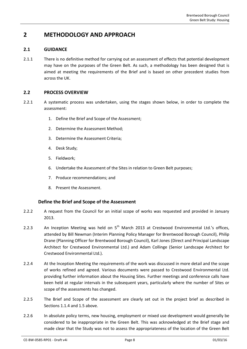## <span id="page-8-1"></span><span id="page-8-0"></span>**2 METHODOLOGY AND APPROACH**

## **2.1 GUIDANCE**

2.1.1 There is no definitive method for carrying out an assessment of effects that potential development may have on the purposes of the Green Belt. As such, a methodology has been designed that is aimed at meeting the requirements of the Brief and is based on other precedent studies from across the UK.

## <span id="page-8-2"></span>**2.2 PROCESS OVERVIEW**

- 2.2.1 A systematic process was undertaken, using the stages shown below, in order to complete the assessment:
	- 1. Define the Brief and Scope of the Assessment;
	- 2. Determine the Assessment Method;
	- 3. Determine the Assessment Criteria;
	- 4. Desk Study;
	- 5. Fieldwork;
	- 6. Undertake the Assessment of the Sites in relation to Green Belt purposes;
	- 7. Produce recommendations; and
	- 8. Present the Assessment.

## **Define the Brief and Scope of the Assessment**

- 2.2.2 A request from the Council for an initial scope of works was requested and provided in January 2013.
- 2.2.3 An Inception Meeting was held on  $5<sup>th</sup>$  March 2013 at Crestwood Environmental Ltd.'s offices, attended by Bill Newman (Interim Planning Policy Manager for Brentwood Borough Council), Philip Drane (Planning Officer for Brentwood Borough Council), Karl Jones (Direct and Principal Landscape Architect for Crestwood Environmental Ltd.) and Adam Collinge (Senior Landscape Architect for Crestwood Environmental Ltd.).
- 2.2.4 At the Inception Meeting the requirements of the work was discussed in more detail and the scope of works refined and agreed. Various documents were passed to Crestwood Environmental Ltd. providing further information about the Housing Sites. Further meetings and conference calls have been held at regular intervals in the subsequent years, particularly where the number of Sites or scope of the assessments has changed.
- 2.2.5 The Brief and Scope of the assessment are clearly set out in the project brief as described in Sections [1.1.4](#page-4-2) and [1.5](#page-6-2) above.
- 2.2.6 In absolute policy terms, new housing, employment or mixed use development would generally be considered to be inappropriate in the Green Belt. This was acknowledged at the Brief stage and made clear that the Study was not to assess the appropriateness of the location of the Green Belt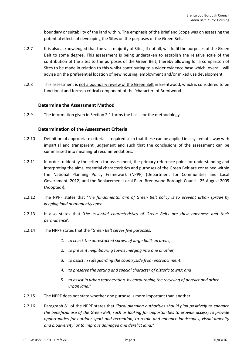boundary or suitability of the land within. The emphasis of the Brief and Scope was on assessing the potential effects of developing the Sites on the purposes of the Green Belt.

- 2.2.7 It is also acknowledged that the vast majority of Sites, if not all, will fulfil the purposes of the Green Belt to some degree. This assessment is being undertaken to establish the relative scale of the contribution of the Sites to the purposes of the Green Belt, thereby allowing for a comparison of Sites to be made in relation to this whilst contributing to a wider evidence base which, overall, will advise on the preferential location of new housing, employment and/or mixed use development.
- 2.2.8 This assessment is not a boundary review of the Green Belt in Brentwood, which is considered to be functional and forms a critical component of the 'character' of Brentwood.

## **Determine the Assessment Method**

2.2.9 The information given in Sectio[n 2.1](#page-8-1) forms the basis for the methodology.

## **Determination of the Assessment Criteria**

- 2.2.10 Definition of appropriate criteria is required such that these can be applied in a systematic way with impartial and transparent judgement and such that the conclusions of the assessment can be summarised into meaningful recommendations.
- 2.2.11 In order to identify the criteria for assessment, the primary reference point for understanding and interpreting the aims, essential characteristics and purposes of the Green Belt are contained within the National Planning Policy Framework (NPPF) (Department for Communities and Local Government, 2012) and the Replacement Local Plan (Brentwood Borough Council, 25 August 2005 (Adopted)).
- 2.2.12 The NPPF states that '*The fundamental aim of Green Belt policy is to prevent urban sprawl by keeping land permanently open*'.
- 2.2.13 It also states that '*the essential characteristics of Green Belts are their openness and their permanence*'.
- 2.2.14 The NPPF states that the "*Green Belt serves five purposes:*
	- *1. to check the unrestricted sprawl of large built-up areas;*
	- *2. to prevent neighbouring towns merging into one another;*
	- *3. to assist in safeguarding the countryside from encroachment;*
	- *4. to preserve the setting and special character of historic towns; and*
	- 5. *to assist in urban regeneration, by encouraging the recycling of derelict and other urban land.*"
- 2.2.15 The NPPF does not state whether one purpose is more important than another.
- 2.2.16 Paragraph 81 of the NPPF states that *"local planning authorities should plan positively to enhance the beneficial use of the Green Belt, such as looking for opportunities to provide access; to provide opportunities for outdoor sport and recreation; to retain and enhance landscapes, visual amenity and biodiversity; or to improve damaged and derelict land."*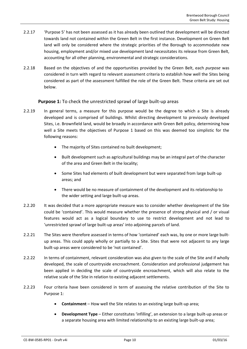- <span id="page-10-0"></span>2.2.17 'Purpose 5' has not been assessed as it has already been outlined that development will be directed towards land not contained within the Green Belt in the first instance. Development on Green Belt land will only be considered where the strategic priorities of the Borough to accommodate new housing, employment and/or mixed use development land necessitates its release from Green Belt, accounting for all other planning, environmental and strategic considerations.
- 2.2.18 Based on the objectives of and the opportunities provided by the Green Belt, each *purpose* was considered in turn with regard to relevant assessment criteria to establish how well the Sites being considered as part of the assessment fulfilled the role of the Green Belt. These criteria are set out below.

## **Purpose 1:** To check the unrestricted sprawl of large built-up areas

- 2.2.19 In general terms, a measure for this purpose would be the degree to which a Site is already developed and is comprised of buildings. Whilst directing development to previously developed Sites, i.e. Brownfield land, would be broadly in accordance with Green Belt policy, determining how well a Site meets the objectives of Purpose 1 based on this was deemed too simplistic for the following reasons:
	- The majority of Sites contained no built development;
	- Built development such as agricultural buildings may be an integral part of the character of the area and Green Belt in the locality;
	- Some Sites had elements of built development but were separated from large built-up areas; and
	- There would be no measure of containment of the development and its relationship to the wider setting and large built-up areas.
- 2.2.20 It was decided that a more appropriate measure was to consider whether development of the Site could be 'contained'. This would measure whether the presence of strong physical and / or visual features would act as a logical boundary to use to restrict development and not lead to 'unrestricted sprawl of large built-up areas' into adjoining parcels of land.
- 2.2.21 The Sites were therefore assessed in terms of how 'contained' each was, by one or more large builtup areas. This could apply wholly or partially to a Site. Sites that were not adjacent to any large built-up areas were considered to be 'not contained'.
- 2.2.22 In terms of containment, relevant consideration was also given to the scale of the Site and if wholly developed, the scale of countryside encroachment. Consideration and professional judgement has been applied in deciding the scale of countryside encroachment, which will also relate to the relative scale of the Site in relation to existing adjacent settlements.
- 2.2.23 Four criteria have been considered in term of assessing the relative contribution of the Site to Purpose 1:
	- **Containment** How well the Site relates to an existing large built-up area;
	- **Development Type** Either constitutes 'infilling', an extension to a large built-up areas or a separate housing area with limited relationship to an existing large built-up area;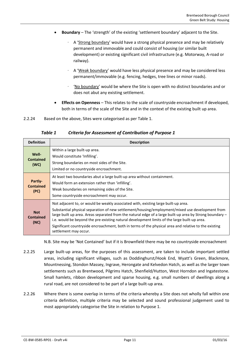- **Boundary** The 'strength' of the existing 'settlement boundary' adjacent to the Site.
	- ∙ A 'Strong boundary' would have a strong physical presence and may be relatively permanent and immovable and could consist of housing (or similar built development) or existing significant civil infrastructure (e.g. Motorway, A-road or railway).
	- ∙ A 'Weak boundary' would have less physical presence and may be considered less permanent/immovable (e.g. fencing, hedges, tree lines or minor roads).
	- ∙ 'No boundary' would be where the Site is open with no distinct boundaries and or does not abut any existing settlement.
- **Effects on Openness** This relates to the scale of countryside encroachment if developed, both in terms of the scale of the Site and in the context of the existing built up area.
- <span id="page-11-0"></span>2.2.24 Based on the above, Sites were categorised as pe[r Table 1.](#page-11-0)

*Table 1 Criteria for Assessment of Contribution of Purpose 1*

| <b>Definition</b>                      | <b>Description</b>                                                                                                                                                                                                                                                                                                                                                                                                                                                                                                                  |
|----------------------------------------|-------------------------------------------------------------------------------------------------------------------------------------------------------------------------------------------------------------------------------------------------------------------------------------------------------------------------------------------------------------------------------------------------------------------------------------------------------------------------------------------------------------------------------------|
| Well-<br><b>Contained</b><br>(WC)      | Within a large built-up area.<br>Would constitute 'Infilling'.<br>Strong boundaries on most sides of the Site.<br>Limited or no countryside encroachment.                                                                                                                                                                                                                                                                                                                                                                           |
| Partly-<br><b>Contained</b><br>(PC)    | At least two boundaries abut a large built-up area without containment.<br>Would form an extension rather than 'infilling'.<br>Weak boundaries on remaining sides of the Site.<br>Some countryside encroachment may occur.                                                                                                                                                                                                                                                                                                          |
| <b>Not</b><br><b>Contained</b><br>(NC) | Not adjacent to, or would be weakly associated with, existing large built-up area.<br>Substantial physical separation of new settlement/housing/employment/mixed use development from<br>large built up area. Areas separated from the natural edge of a large built-up area by Strong boundary –<br>i.e. would be beyond the pre-existing natural development limits of the large built-up area.<br>Significant countryside encroachment, both in terms of the physical area and relative to the existing<br>settlement may occur. |

N.B. Site may be 'Not Contained' but if it is Brownfield there may be no countryside encroachment

- <span id="page-11-1"></span>2.2.25 Large built-up areas, for the purposes of this assessment, are taken to include important settled areas, including significant villages, such as Doddinghurst/Hook End, Wyatt's Green, Blackmore, Mountnessing, Stondon Massey, Ingrave, Herongate and Kelvedon Hatch, as well as the larger town settlements such as Brentwood, Pilgrims Hatch, Shenfield/Hutton, West Horndon and Ingatestone. Small hamlets, ribbon development and sparse housing, e.g. small numbers of dwellings along a rural road, are not considered to be part of a large built-up area.
- 2.2.26 Where there is some overlap in terms of the criteria whereby a Site does not wholly fall within one criteria definition, multiple criteria may be selected and sound professional judgement used to most appropriately categorise the Site in relation to Purpose 1.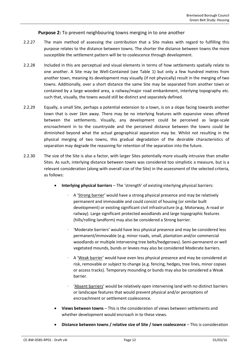## **Purpose 2:** To prevent neighbouring towns merging in to one another

- 2.2.27 The main method of assessing the contribution that a Site makes with regard to fulfilling this purpose relates to the distance between towns. The shorter the distance between towns the more susceptible the settlement pattern will be to coalescence through development.
- 2.2.28 Included in this are perceptual and visual elements in terms of how settlements spatially relate to one another. A Site may be Well-Contained (see [Table 1\)](#page-11-0) but only a few hundred metres from another town, meaning its development may visually (if not physically) result in the merging of two towns. Additionally, over a short distance the same Site may be separated from another town or contained by a large wooded area, a railway/major road embankment, interlying topography etc. such that, visually, the towns would still be distinct and separately defined.
- 2.2.29 Equally, a small Site, perhaps a potential extension to a town, is on a slope facing towards another town that is over 1km away. There may be no interlying features with expansive views offered between the settlements. Visually, any development could be perceived as large-scale encroachment in to the countryside and the perceived distance between the towns could be diminished beyond what the actual geographical separation may be. Whilst not resulting in the physical merging of two towns, this gradual degradation of the desirable characteristics of separation may degrade the reasoning for retention of the separation into the future.
- 2.2.30 The size of the Site is also a factor, with larger Sites potentially more visually intrusive than smaller Sites. As such, interlying distance between towns was considered too simplistic a measure, but is a relevant consideration (along with overall size of the Site) in the assessment of the selected criteria, as follows:
	- **Interlying physical barriers** The 'strength' of existing interlying physical barriers:
		- ∙ A 'Strong barrier' would have a strong physical presence and may be relatively permanent and immovable and could consist of housing (or similar built development) or existing significant civil infrastructure (e.g. Motorway, A-road or railway). Large significant protected woodlands and large topographic features (hills/rolling landform) may also be considered a Strong barrier.
		- ∙ 'Moderate barriers' would have less physical presence and may be considered less permanent/immovable (e.g. minor roads, small, plantation and/or commercial woodlands or multiple intervening tree belts/hedgerows). Semi-permanent or well vegetated mounds, bunds or levees may also be considered Moderate barriers.
		- ∙ A 'Weak barrier' would have even less physical presence and may be considered at risk, removable or subject to change (e.g. fencing, hedges, tree lines, minor copses or access tracks). Temporary mounding or bunds may also be considered a Weak barrier.
		- ∙ 'Absent barriers' would be relatively open intervening land with no distinct barriers or landscape features that would prevent physical and/or perceptions of encroachment or settlement coalescence.
	- **Views between towns** This is the consideration of views between settlements and whether development would encroach in to these views.
	- **Distance between towns / relative size of Site / town coalescence**  This is consideration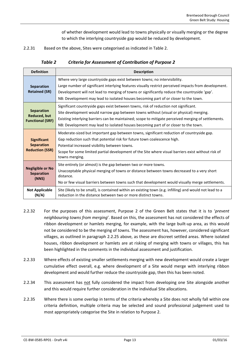of whether development would lead to towns physically or visually merging or the degree to which the interlying countryside gap would be reduced by development.

<span id="page-13-0"></span>2.2.31 Based on the above, Sites were categorised as indicated i[n Table 2.](#page-13-0)

*Table 2 Criteria for Assessment of Contribution of Purpose 2*

| <b>Definition</b>                                                   | <b>Description</b>                                                                                                                                                                                                                                                                                                                                                          |  |  |
|---------------------------------------------------------------------|-----------------------------------------------------------------------------------------------------------------------------------------------------------------------------------------------------------------------------------------------------------------------------------------------------------------------------------------------------------------------------|--|--|
| <b>Separation</b><br><b>Retained (SR)</b>                           | Where very large countryside gaps exist between towns; no intervisibility.<br>Large number of significant interlying features visually restrict perceived impacts from development.<br>Development will not lead to merging of towns or significantly reduce the countryside 'gap'.<br>NB: Development may lead to isolated houses becoming part of or closer to the town.  |  |  |
| <b>Separation</b><br><b>Reduced, but</b><br><b>Functional (SRF)</b> | Significant countryside gaps exist between towns, risk of reduction not significant.<br>Site development would narrow gap between towns without (visual or physical) merging.<br>Existing interlying barriers can be maintained; scope to mitigate perceived merging of settlements.<br>NB: Development may lead to isolated houses becoming part of or closer to the town. |  |  |
| <b>Significant</b><br><b>Separation</b><br><b>Reduction (SSR)</b>   | Moderate-sized but important gap between towns, significant reduction of countryside gap.<br>Gap reduction such that potential risk for future town coalescence high.<br>Potential increased visibility between towns.<br>Scope for some limited partial development of the Site where visual barriers exist without risk of<br>towns merging.                              |  |  |
| <b>Negligible or No</b><br><b>Separation</b><br>(NNS)               | Site entirely (or almost) is the gap between two or more towns.<br>Unacceptable physical merging of towns or distance between towns decreased to a very short<br>distance.<br>No or few visual barriers between towns such that development would visually merge settlements.                                                                                               |  |  |
| <b>Not Applicable</b><br>(N/A)                                      | Site (likely to be small), is contained within an existing town (e.g. infilling) and would not lead to a<br>reduction in the distance between two or more distinct towns.                                                                                                                                                                                                   |  |  |

- 2.2.32 For the purposes of this assessment, Purpose 2 of the Green Belt states that it is to '*prevent neighbouring towns from merging*'. Based on this, the assessment has not considered the effects of ribbon development or hamlets merging, for example, with the large built-up area, as this would not be considered to be the merging of towns. The assessment has, however, considered significant villages, as outlined in paragraph [2.2.25](#page-11-1) above, as these are discreet settled areas. Where isolated houses, ribbon development or hamlets are at risking of merging with towns or villages, this has been highlighted in the comments in the individual assessment and justification.
- 2.2.33 Where effects of existing smaller settlements merging with new development would create a larger cumulative effect overall, e.g. where development of a Site would merge with interlying ribbon development and would further reduce the countryside gap, then this has been noted.
- 2.2.34 This assessment has not fully considered the impact from developing one Site alongside another and this would require further consideration in the individual Site allocations.
- 2.2.35 Where there is some overlap in terms of the criteria whereby a Site does not wholly fall within one criteria definition, multiple criteria may be selected and sound professional judgement used to most appropriately categorise the Site in relation to Purpose 2.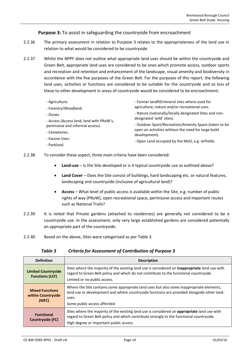## **Purpose 3:** To assist in safeguarding the countryside from encroachment

- 2.2.36 The primary assessment in relation to Purpose 3 relates to the appropriateness of the land use in relation to what would be considered to be countryside.
- 2.2.37 Whilst the NPPF does not outline what appropriate land uses should be within the countryside and Green Belt, appropriate land uses are considered to be ones which promote access, outdoor sports and recreation and retention and enhancement of the landscape, visual amenity and biodiversity in accordance with the five purposes of the Green Belt. For the purposes of this report, the following land uses, activities or functions are considered to be suitable for the countryside and so loss of these to other development in areas of countryside would be considered to be encroachment:
	- Agriculture.
	- Forestry/Woodland.
	- Dunes.
	- Access (Access land, land with PRoW's, permissive and informal access).
	- Cemeteries.
	- Equine Uses.
	- Parkland.
- Former landfill/mineral sites where used for agriculture, nature and/or recreational uses.
- Nature (nationally/locally designated Sites and nondesignated 'wild' sites).
- Outdoor Sport/Recreation/Amenity Space (taken to be open air activities without the need for large build development).
- Open Land occupied by the MoD, e.g. airfields.
- 2.2.38 To consider these aspect, three main criteria have been considered:
	- **Land-use** Is the Site developed or is it typical countryside use as outlined above?
	- **Land Cover** Does the Site consist of buildings, hard landscaping etc. or natural features, landscaping and countryside (inclusive of agricultural land)?
	- **Access** What level of public access is available within the Site, e.g. number of public rights of way (PRoW), open recreational space, permissive access and important routes such as National Trails?
- 2.2.39 It is noted that Private gardens (attached to residences) are generally not considered to be a countryside use. In the assessment, only very large established gardens are considered potentially an appropriate part of the countryside.
- <span id="page-14-0"></span>2.2.40 Based on the above, Sites were categorised as pe[r Table 3.](#page-14-0)

#### *Table 3 Criteria for Assessment of Contribution of Purpose 3*

| <b>Definition</b>                                     | <b>Description</b>                                                                                                                                                                                                                  |
|-------------------------------------------------------|-------------------------------------------------------------------------------------------------------------------------------------------------------------------------------------------------------------------------------------|
| <b>Limited Countryside</b><br><b>Functions (LCF)</b>  | Sites where the majority of the existing land use is considered an inappropriate land use with<br>regard to Green Belt policy and which do not contribute to the functional countryside.<br>Limited or no public access.            |
| <b>Mixed Functions</b><br>within Countryside<br>(MFC) | Where the Site contains some appropriate land uses but also some inappropriate elements,<br>land use or development and where countryside functions are provided alongside other land-<br>uses.<br>Some public access afforded.     |
| <b>Functional</b><br>Countryside (FC)                 | Sites where the majority of the existing land use is considered an appropriate land use with<br>regard to Green Belt policy and which contribute strongly to the functional countryside.<br>High degree or important public access. |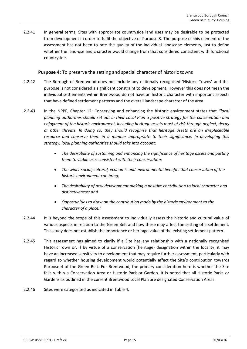2.2.41 In general terms, Sites with appropriate countryside land uses may be desirable to be protected from development in order to fulfil the objective of Purpose 3. The purpose of this element of the assessment has not been to rate the quality of the individual landscape elements, just to define whether the land-use and character would change from that considered consistent with functional countryside.

**Purpose 4:** To preserve the setting and special character of historic towns

- 2.2.42 The Borough of Brentwood does not include any nationally recognised 'Historic Towns' and this purpose is not considered a significant constraint to development. However this does not mean the individual settlements within Brentwood do not have an historic character with important aspects that have defined settlement patterns and the overall landscape character of the area.
- *2.2.43* In the NPPF, Chapter 12: Conserving and enhancing the historic environment states that *"local planning authorities should set out in their Local Plan a positive strategy for the conservation and enjoyment of the historic environment, including heritage assets most at risk through neglect, decay or other threats. In doing so, they should recognise that heritage assets are an irreplaceable resource and conserve them in a manner appropriate to their significance. In developing this strategy, local planning authorities should take into account:*
	- *The desirability of sustaining and enhancing the significance of heritage assets and putting them to viable uses consistent with their conservation;*
	- *The wider social, cultural, economic and environmental benefits that conservation of the historic environment can bring;*
	- *The desirability of new development making a positive contribution to local character and distinctiveness; and*
	- *Opportunities to draw on the contribution made by the historic environment to the character of a place.*"
- 2.2.44 It is beyond the scope of this assessment to individually assess the historic and cultural value of various aspects in relation to the Green Belt and how these may affect the setting of a settlement. This study does not establish the importance or heritage value of the existing settlement pattern.
- 2.2.45 This assessment has aimed to clarify if a Site has any relationship with a nationally recognised Historic Town or, if by virtue of a conservation (heritage) designation within the locality, it may have an increased sensitivity to development that may require further assessment, particularly with regard to whether housing development would potentially affect the Site's contribution towards Purpose 4 of the Green Belt. For Brentwood, the primary consideration here is whether the Site falls within a Conservation Area or Historic Park or Garden. It is noted that all Historic Parks or Gardens as outlined in the current Brentwood Local Plan are designated Conservation Areas.
- 2.2.46 Sites were categorised as indicated in [Table 4.](#page-16-0)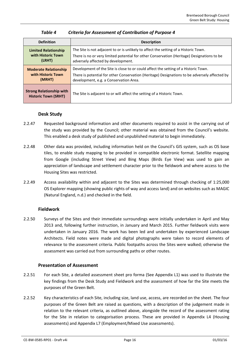<span id="page-16-0"></span>

| <b>Definition</b>                                              | <b>Description</b>                                                                            |  |
|----------------------------------------------------------------|-----------------------------------------------------------------------------------------------|--|
| <b>Limited Relationship</b>                                    | The Site is not adjacent to or is unlikely to affect the setting of a Historic Town.          |  |
| with Historic Town                                             | There is no or very limited potential for other Conservation (Heritage) Designations to be    |  |
| (LRHT)                                                         | adversely affected by development.                                                            |  |
| <b>Moderate Relationship</b>                                   | Development of the Site is close to or could affect the setting of a Historic Town.           |  |
| with Historic Town                                             | There is potential for other Conservation (Heritage) Designations to be adversely affected by |  |
| (MRHT)                                                         | development, e.g. a Conservation Area.                                                        |  |
| <b>Strong Relationship with</b><br><b>Historic Town (SRHT)</b> | The Site is adjacent to or will affect the setting of a Historic Town.                        |  |

## *Table 4 Criteria for Assessment of Contribution of Purpose 4*

## **Desk Study**

- 2.2.47 Requested background information and other documents required to assist in the carrying out of the study was provided by the Council; other material was obtained from the Council's website. This enabled a desk study of published and unpublished material to begin immediately.
- 2.2.48 Other data was provided, including information held on the Council's GIS system, such as OS base tiles, to enable study mapping to be provided in compatible electronic format. Satellite mapping from Google (including Street View) and Bing Maps (Birds Eye View) was used to gain an appreciation of landscape and settlement character prior to the fieldwork and where access to the Housing Sites was restricted.
- 2.2.49 Access availability within and adjacent to the Sites was determined through checking of 1:25,000 OS Explorer mapping (showing public rights of way and access land) and on websites such as MAGIC (Natural England, n.d.) and checked in the field.

## **Fieldwork**

2.2.50 Surveys of the Sites and their immediate surroundings were initially undertaken in April and May 2013 and, following further instruction, in January and March 2015. Further fieldwork visits were undertaken in January 2016. The work has been led and undertaken by experienced Landscape Architects. Field notes were made and digital photographs were taken to record elements of relevance to the assessment criteria. Public footpaths across the Sites were walked; otherwise the assessment was carried out from surrounding paths or other routes.

## **Presentation of Assessment**

- 2.2.51 For each Site, a detailed assessment sheet pro forma (See Appendix L1) was used to illustrate the key findings from the Desk Study and Fieldwork and the assessment of how far the Site meets the purposes of the Green Belt.
- 2.2.52 Key characteristics of each Site, including size, land use, access, are recorded on the sheet. The four purposes of the Green Belt are raised as questions, with a description of the judgement made in relation to the relevant criteria, as outlined above, alongside the record of the assessment rating for the Site in relation to categorisation process. These are provided in Appendix L4 (Housing assessments) and Appendix L7 (Employment/Mixed Use assessments).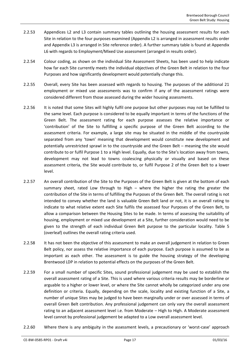- 2.2.53 Appendices L2 and L3 contain summary tables outlining the housing assessment results for each Site in relation to the four purposes examined (Appendix L2 is arranged in assessment results order and Appendix L3 is arranged in Site reference order). A further summary table is found at Appendix L6 with regards to Employment/Mixed Use assessment (arranged in results order).
- 2.2.54 Colour coding, as shown on the individual Site Assessment Sheets, has been used to help indicate how far each Site currently meets the individual objectives of the Green Belt in relation to the four Purposes and how significantly development would potentially change this.
- 2.2.55 Overall, every Site has been assessed with regards to housing. The purposes of the additional 21 employment or mixed use assessments was to confirm if any of the assessment ratings were considered different from those assessed during the wider housing assessments.
- 2.2.56 It is noted that some Sites will highly fulfil one purpose but other purposes may not be fulfilled to the same level. Each purpose is considered to be equally important in terms of the functions of the Green Belt. The assessment rating for each purpose assesses the relative importance or 'contribution' of the Site to fulfilling a specific purpose of the Green Belt according to the assessment criteria. For example, a large site may be situated in the middle of the countryside separated from any 'town' meaning that development would constitute new development and potentially unrestricted sprawl in to the countryside and the Green Belt – meaning the site would contribute to or fulfil Purpose 1 to a High level. Equally, due to the Site's location away from towns, development may not lead to towns coalescing physically or visually and based on these assessment criteria, the Site would contribute to, or fulfil Purpose 2 of the Green Belt to a lower level.
- 2.2.57 An overall contribution of the Site to the Purposes of the Green Belt is given at the bottom of each summary sheet, rated Low through to High – where the higher the rating the greater the contribution of the Site in terms of fulfilling the Purposes of the Green Belt. The overall rating is not intended to convey whether the land is valuable Green Belt land or not, it is an overall rating to indicate to what relative extent each Site fulfils the assessed four Purposes of the Green Belt, to allow a comparison between the Housing Sites to be made. In terms of assessing the suitability of housing, employment or mixed use development at a Site, further consideration would need to be given to the strength of each individual Green Belt purpose to the particular locality. [Table 5](#page-18-0) (overleaf) outlines the overall rating criteria used.
- 2.2.58 It has not been the objective of this assessment to make an overall judgement in relation to Green Belt policy, nor assess the relative importance of each purpose. Each purpose is assumed to be as important as each other. The assessment is to guide the housing strategy of the developing Brentwood LDP in relation to potential effects on the purposes of the Green Belt.
- 2.2.59 For a small number of specific Sites, sound professional judgement may be used to establish the overall assessment rating of a Site. This is used where various criteria results may be borderline or arguable to a higher or lower level, or where the Site cannot wholly be categorized under any one definition or criteria. Equally, depending on the scale, locality and existing function of a Site, a number of unique Sites may be judged to have been marginally under or over assessed in terms of overall Green Belt contribution. Any professional judgement can only vary the overall assessment rating to an adjacent assessment level i.e. from Moderate – High to High. A Moderate assessment level cannot by professional judgement be adapted to a Low overall assessment level.
- 2.2.60 Where there is any ambiguity in the assessment levels, a precautionary or 'worst-case' approach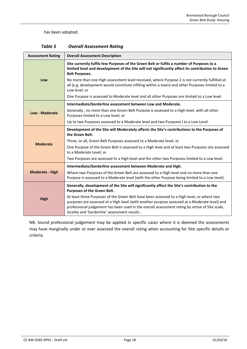#### has been adopted.

<span id="page-18-0"></span>

| <b>Assessment Rating</b> | <b>Overall Assessment Description</b>                                                                                                                                                                                                                                                                                                          |  |
|--------------------------|------------------------------------------------------------------------------------------------------------------------------------------------------------------------------------------------------------------------------------------------------------------------------------------------------------------------------------------------|--|
|                          | Site currently fulfils few Purposes of the Green Belt or fulfils a number of Purposes to a<br>limited level and development of the Site will not significantly affect its contribution to Green<br><b>Belt Purposes.</b>                                                                                                                       |  |
| Low                      | No more than one High assessment level received, where Purpose 2 is not currently fulfilled at<br>all (e.g. development would constitute infilling within a town) and other Purposes limited to a<br>Low level; or                                                                                                                             |  |
|                          | One Purpose is assessed to Moderate level and all other Purposes are limited to a Low level.                                                                                                                                                                                                                                                   |  |
|                          | Intermediate/borderline assessment between Low and Moderate.                                                                                                                                                                                                                                                                                   |  |
| Low - Moderate           | Generally, no more than one Green Belt Purpose is assessed to a High level, with all other<br>Purposes limited to a Low level; or                                                                                                                                                                                                              |  |
|                          | Up to two Purposes assessed to a Moderate level and two Purposes I to a Low Level.                                                                                                                                                                                                                                                             |  |
|                          | Development of the Site will Moderately affects the Site's contributions to the Purposes of<br>the Green Belt.                                                                                                                                                                                                                                 |  |
| <b>Moderate</b>          | Three, or all, Green Belt Purposes assessed to a Moderate level; or                                                                                                                                                                                                                                                                            |  |
|                          | One Purpose of the Green Belt is assessed to a High level and at least two Purposes are assessed<br>to a Moderate Level; or                                                                                                                                                                                                                    |  |
|                          | Two Purposes are assessed to a High level and the other two Purposes limited to a Low level.                                                                                                                                                                                                                                                   |  |
|                          | Intermediate/borderline assessment between Moderate and High.                                                                                                                                                                                                                                                                                  |  |
| <b>Moderate - High</b>   | Where two Purposes of the Green Belt are assessed to a High level and no more than one<br>Purpose is assessed to a Moderate level (with the other Purpose being limited to a Low level).                                                                                                                                                       |  |
|                          | Generally, development of the Site will significantly affect the Site's contribution to the<br>Purposes of the Green Belt.                                                                                                                                                                                                                     |  |
| <b>High</b>              | At least three Purposes of the Green Belt have been assessed to a High level, or where two<br>purposes are assessed at a High level (with another purpose assessed at a Moderate level) and<br>professional judgement has been used in the overall assessment rating by virtue of Site scale,<br>locality and 'borderline' assessment results. |  |

| <b>Overall Assessment Rating</b> |
|----------------------------------|
|                                  |

NB: Sound professional judgement may be applied in specific cases where it is deemed the assessments may have marginally under or over assessed the overall rating when accounting for Site specific details or criteria.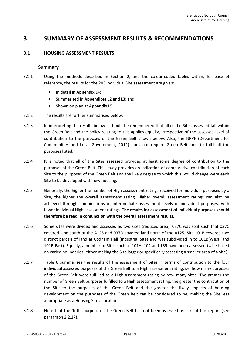## <span id="page-19-1"></span><span id="page-19-0"></span>**3 SUMMARY OF ASSESSMENT RESULTS & RECOMMENDATIONS**

## **3.1 HOUSING ASSESSMENT RESULTS**

#### **Summary**

- 3.1.1 Using the methods described in Section [2,](#page-8-0) and the colour-coded tables within, for ease of reference, the results for the 203 individual Site assessment are given:
	- In detail in **Appendix L4**;
	- Summarised in **Appendices L2 and L3**; and
	- Shown on plan at **Appendix L5**.
- 3.1.2 The results are further summarised below.
- 3.1.3 In interpreting the results below it should be remembered that all of the Sites assessed fall within the Green Belt and the policy relating to this applies equally, irrespective of the assessed level of contribution to the purposes of the Green Belt shown below. Also, the NPPF (Department for Communities and Local Government, 2012) does not require Green Belt land to fulfil all the purposes listed.
- 3.1.4 It is noted that all of the Sites assessed provided at least some degree of contribution to the purposes of the Green Belt. This study provides an indication of comparative contribution of each Site to the purposes of the Green Belt and the likely degree to which this would change were each Site to be developed with new housing.
- 3.1.5 Generally, the higher the number of High assessment ratings received for individual purposes by a Site, the higher the overall assessment rating. Higher overall assessment ratings can also be achieved through combinations of intermediate assessment levels of individual purposes, with fewer individual High assessment ratings. **The results for assessment of individual purposes should therefore be read in conjunction with the overall assessment results.**
- 3.1.6 Some sites were divided and assessed as two sites (reduced area): 037C was split such that 037C covered land south of the A125 and 037D covered land north of the A125; Site 101B covered two distinct parcels of land at Codham Hall (industrial Site) and was subdivided in to 101B(West) and 101B(East). Equally, a number of Sites such as 101A, 104 and 185 have been assessed twice based on varied boundaries (either making the Site larger or specifically assessing a smaller area of a Site).
- 3.1.7 [Table 6](#page-20-0) summarises the results of the assessment of Sites in terms of contribution to the four individual assessed purposes of the Green Belt to a **High** assessment rating, i.e. how many purposes of the Green Belt were fulfilled to a High assessment rating by how many Sites. The greater the number of Green Belt purposes fulfilled to a High assessment rating, the greater the contribution of the Site to the purposes of the Green Belt and the greater the likely impacts of housing development on the purposes of the Green Belt can be considered to be, making the Site less appropriate as a Housing Site allocation.
- 3.1.8 Note that the 'fifth' purpose of the Green Belt has not been assessed as part of this report (see paragrap[h 2.2.17\)](#page-10-0).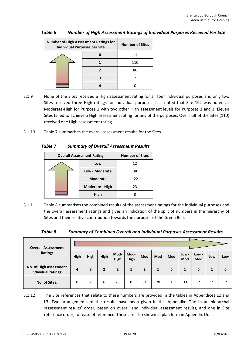| <b>Number of High Assessment Ratings for</b><br><b>Individual Purposes per Site</b> |  | <b>Number of Sites</b> |
|-------------------------------------------------------------------------------------|--|------------------------|
|                                                                                     |  | 11                     |
|                                                                                     |  | 110                    |
|                                                                                     |  | 80                     |
|                                                                                     |  |                        |
|                                                                                     |  |                        |

## <span id="page-20-0"></span>*Table 6 Number of High Assessment Ratings of Individual Purposes Received Per Site*

- 3.1.9 None of the Sites received a High assessment rating for all four individual purposes and only two Sites received three High ratings for individual purposes. It is noted that Site 192 was noted as Moderate-High for Purpose 2 with two other High assessment levels for Purposes 1 and 3. Eleven Sites failed to achieve a High assessment rating for any of the purposes. Over half of the Sites (110) received one High assessment rating.
- <span id="page-20-1"></span>3.1.10 [Table 7](#page-20-1) summarises the overall assessment results for the Sites.

## *Table 7 Summary of Overall Assessment Results*

| <b>Overall Assessment Rating</b> |                 | <b>Number of Sites</b> |
|----------------------------------|-----------------|------------------------|
|                                  | Low             | 12                     |
|                                  | Low - Moderate  | 38                     |
|                                  | <b>Moderate</b> | 122                    |
|                                  | Moderate - High | 23                     |
|                                  | High            |                        |

3.1.11 [Table 8](#page-20-2) summarises the combined results of the assessment ratings for the individual purposes and the overall assessment ratings and gives an indication of the split of numbers in the hierarchy of Sites and their relative contribution towards the purposes of the Green Belt.

| Table 8 | Summary of Combined Overall and Individual Purposes Assessment Results |
|---------|------------------------------------------------------------------------|
|---------|------------------------------------------------------------------------|

<span id="page-20-2"></span>

| <b>Overall Assessment</b>                     |      |      |                |                |              |                |     |     |              |              |     |      |
|-----------------------------------------------|------|------|----------------|----------------|--------------|----------------|-----|-----|--------------|--------------|-----|------|
| Rating:                                       | High | High | High           | Mod-<br>High   | Mod-<br>High | Mod            | Mod | Mod | Low -<br>Mod | Low -<br>Mod | Low | Low  |
| No. of High assessment<br>individual ratings: | 4    | 3    | $\overline{2}$ | $\overline{2}$ | 1            | $\overline{2}$ |     | 0   | 1            | 0            | 1   | 0    |
| No. of Sites:                                 | 0    | 2    | 6              | 23             | 0            | 51             | 70  |     | 33           | $5*$         |     | $5*$ |

3.1.12 The Site references that relate to these numbers are provided in the tables in Appendices L2 and L3. Two arrangements of the results have been given in this Appendix: One in an hierarchal 'assessment results' order, based on overall and individual assessment results, and one in Site reference order, for ease of reference. These are also shown in plan form in Appendix L5.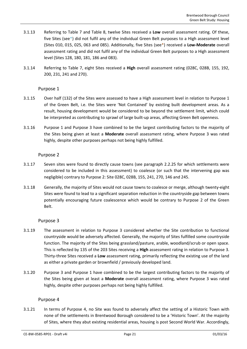- 3.1.13 Referring to [Table 7](#page-20-1) and [Table 8,](#page-20-2) twelve Sites received a **Low** overall assessment rating. Of these, five Sites (see\*) did not fulfil any of the individual Green Belt purposes to a High assessment level (Sites 010, 015, 025, 063 and 085). Additionally, five Sites (see\*) received a **Low-Moderate** overall assessment rating and did not fulfil any of the individual Green Belt purposes to a High assessment level (Sites 128, 180, 181, 186 and 083).
- 3.1.14 Referring to [Table 7,](#page-20-1) eight Sites received a **High** overall assessment rating (028C, 028B, 155, 192, 200, 231, 241 and 270).

#### Purpose 1

- 3.1.15 Over half (132) of the Sites were assessed to have a High assessment level in relation to Purpose 1 of the Green Belt, i.e. the Sites were 'Not Contained' by existing built development areas. As a result, housing development would be considered to be beyond the settlement limit, which could be interpreted as contributing to sprawl of large built-up areas, affecting Green Belt openness.
- 3.1.16 Purpose 1 and Purpose 3 have combined to be the largest contributing factors to the majority of the Sites being given at least a **Moderate** overall assessment rating, where Purpose 3 was rated highly, despite other purposes perhaps not being highly fulfilled.

#### Purpose 2

- 3.1.17 Seven sites were found to directly cause towns (see paragraph [2.2.25](#page-11-1) for which settlements were considered to be included in this assessment) to coalesce (or such that the intervening gap was negligible) contrary to Purpose 2: Site 028C, 028B, 155, 241, 270, 146 and 245.
- 3.1.18 Generally, the majority of Sites would not cause towns to coalesce or merge, although twenty-eight Sites were found to lead to a significant separation reduction in the countryside gap between towns potentially encouraging future coalescence which would be contrary to Purpose 2 of the Green Belt.

## Purpose 3

- 3.1.19 The assessment in relation to Purpose 3 considered whether the Site contribution to functional countryside would be adversely affected. Generally, the majority of Sites fulfilled some countryside function. The majority of the Sites being grassland/pasture, arable, woodland/scrub or open space. This is reflected by 135 of the 203 Sites receiving a **High** assessment rating in relation to Purpose 3. Thirty-three Sites received a **Low** assessment rating, primarily reflecting the existing use of the land as either a private garden or brownfield / previously developed land.
- 3.1.20 Purpose 3 and Purpose 1 have combined to be the largest contributing factors to the majority of the Sites being given at least a **Moderate** overall assessment rating, where Purpose 3 was rated highly, despite other purposes perhaps not being highly fulfilled.

#### Purpose 4

3.1.21 In terms of Purpose 4, no Site was found to adversely affect the setting of a Historic Town with none of the settlements in Brentwood Borough considered to be a 'Historic Town'. At the majority of Sites, where they abut existing residential areas, housing is post Second World War. Accordingly,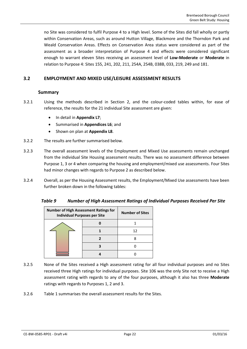no Site was considered to fulfil Purpose 4 to a High level. Some of the Sites did fall wholly or partly within Conservation Areas, such as around Hutton Village, Blackmore and the Thorndon Park and Weald Conservation Areas. Effects on Conservation Area status were considered as part of the assessment as a broader interpretation of Purpose 4 and effects were considered significant enough to warrant eleven Sites receiving an assessment level of **Low-Moderate** or **Moderate** in relation to Purpose 4: Sites 155, 241, 202, 211, 254A, 254B, 038B, 033, 219, 249 and 181.

## <span id="page-22-0"></span>**3.2 EMPLOYMENT AND MIXED USE/LEISURE ASSESSMENT RESULTS**

## **Summary**

- 3.2.1 Using the methods described in Section [2,](#page-8-0) and the colour-coded tables within, for ease of reference, the results for the 21 individual Site assessment are given:
	- In detail in **Appendix L7**;
	- Summarised in **Appendices L6**; and
	- Shown on plan at **Appendix L8**.
- 3.2.2 The results are further summarised below.
- 3.2.3 The overall assessment levels of the Employment and Mixed Use assessments remain unchanged from the individual Site Housing assessment results. There was no assessment difference between Purpose 1, 3 or 4 when comparing the housing and employment/mixed use assessments. Four Sites had minor changes with regards to Purpose 2 as described below.
- <span id="page-22-1"></span>3.2.4 Overall, as per the Housing Assessment results, the Employment/Mixed Use assessments have been further broken down in the following tables:

| Table 9 |  | <b>Number of High Assessment Ratings of Individual Purposes Received Per Site</b> |
|---------|--|-----------------------------------------------------------------------------------|
|---------|--|-----------------------------------------------------------------------------------|

| <b>Number of High Assessment Ratings for</b><br><b>Individual Purposes per Site</b> | <b>Number of Sites</b> |    |
|-------------------------------------------------------------------------------------|------------------------|----|
|                                                                                     |                        |    |
|                                                                                     |                        | 12 |
|                                                                                     |                        |    |
|                                                                                     |                        |    |
|                                                                                     |                        |    |

- 3.2.5 None of the Sites received a High assessment rating for all four individual purposes and no Sites received three High ratings for individual purposes. Site 106 was the only Site not to receive a High assessment rating with regards to any of the four purposes, although it also has three **Moderate** ratings with regards to Purposes 1, 2 and 3.
- 3.2.6 Table 1 summarises the overall assessment results for the Sites.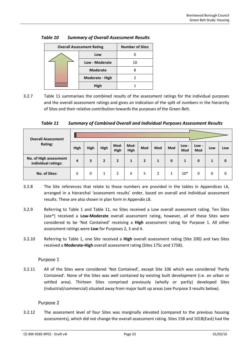| <b>Overall Assessment Rating</b> | <b>Number of Sites</b> |    |
|----------------------------------|------------------------|----|
|                                  | Low                    |    |
|                                  | Low - Moderate         | 10 |
|                                  | <b>Moderate</b>        |    |
|                                  | Moderate - High        |    |
|                                  | High                   |    |

<span id="page-23-0"></span>

| Table 10 | <b>Summary of Overall Assessment Results</b> |
|----------|----------------------------------------------|
|----------|----------------------------------------------|

3.2.7 [Table 11](#page-23-1) summarises the combined results of the assessment ratings for the individual purposes and the overall assessment ratings and gives an indication of the split of numbers in the hierarchy of Sites and their relative contribution towards the purposes of the Green Belt.

*Table 11 Summary of Combined Overall and Individual Purposes Assessment Results*

<span id="page-23-1"></span>

| <b>Overall Assessment</b>                     |      |      |                |                |              |                |     |     |              |              |     |          |
|-----------------------------------------------|------|------|----------------|----------------|--------------|----------------|-----|-----|--------------|--------------|-----|----------|
| Rating:                                       | High | High | High           | Mod-<br>High   | Mod-<br>High | Mod            | Mod | Mod | Low -<br>Mod | Low -<br>Mod | Low | Low      |
| No. of High assessment<br>individual ratings: | 4    | 3    | $\overline{2}$ | $\overline{2}$ | 1            | $\overline{2}$ | 1   | 0   | 1            | $\mathbf 0$  | 1   | $\Omega$ |
| No. of Sites:                                 | 0    | 0    | 1              | 2              | 0            | 5              | 2   |     | $10*$        | 0            | 0   | 0        |

- 3.2.8 The Site references that relate to these numbers are provided in the tables in Appendices L6, arranged in a hierarchal 'assessment results' order, based on overall and individual assessment results. These are also shown in plan form in Appendix L8.
- 3.2.9 Referring to Table 1 and [Table 11,](#page-23-1) no Sites received a Low overall assessment rating. Ten Sites (see\*) received a **Low-Moderate** overall assessment rating, however, all of these Sites were considered to be 'Not Contained' receiving a **High** assessment rating for Purpose 1. All other assessment ratings were **Low** for Purposes 2, 3 and 4.
- 3.2.10 Referring to Table 1, one Site received a **High** overall assessment rating (Site 200) and two Sites received a **Moderate-High** overall assessment rating (Sites 175c and 175B).

## Purpose 1

3.2.11 All of the Sites were considered 'Not Contained', except Site 106 which was considered 'Partly Contained'. None of the Sites was well contained by existing built development (i.e. an urban or settled area). Thirteen Sites comprised previously (wholly or partly) developed Sites (industrial/commercial) situated away from major built up areas (see Purpose 3 results below).

## Purpose 2

3.2.12 The assessment level of four Sites was marginally elevated (compared to the previous housing assessments), which did not change the overall assessment rating. Sites 158 and 101B(East) had the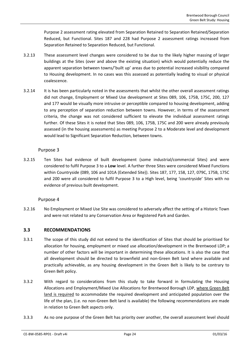Purpose 2 assessment rating elevated from Separation Retained to Separation Retained/Separation Reduced, but Functional. Sites 187 and 228 had Purpose 2 assessment ratings increased from Separation Retained to Separation Reduced, but Functional.

- 3.2.13 These assessment level changes were considered to be due to the likely higher massing of larger buildings at the Sites (over and above the existing situation) which would potentially reduce the apparent separation between towns/'built up' areas due to potential increased visibility compared to Housing development. In no cases was this assessed as potentially leading to visual or physical coalescence.
- 3.2.14 It is has been particularly noted in the assessments that whilst the other overall assessment ratings did not change, Employment or Mixed Use development at Sites 089, 106, 175B, 175C, 200, 127 and 177 would be visually more intrusive or perceptible compared to housing development, adding to any perception of separation reduction between towns. However, in terms of the assessment criteria, the change was not considered sufficient to elevate the individual assessment ratings further. Of these Sites it is noted that Sites 089, 106, 175B, 175C and 200 were already previously assessed (in the housing assessments) as meeting Purpose 2 to a Moderate level and development would lead to Significant Separation Reduction, between towns.

## Purpose 3

3.2.15 Ten Sites had evidence of built development (some industrial/commercial Sites) and were considered to fulfil Purpose 3 to a **Low** level. A further three Sites were considered Mixed Functions within Countryside (089, 106 and 101A (Extended Site)). Sites 187, 177, 158, 127, 079C, 175B, 175C and 200 were all considered to fulfil Purpose 3 to a High level, being 'countryside' Sites with no evidence of previous built development.

## Purpose 4

3.2.16 No Employment or Mixed Use Site was considered to adversely affect the setting of a Historic Town and were not related to any Conservation Area or Registered Park and Garden.

## <span id="page-24-0"></span>**3.3 RECOMMENDATIONS**

- 3.3.1 The scope of this study did not extend to the identification of Sites that should be prioritised for allocation for housing, employment or mixed use allocation/development in the Brentwood LDP; a number of other factors will be important in determining these allocations. It is also the case that all development should be directed to brownfield and non-Green Belt land where available and practically achievable, as any housing development in the Green Belt is likely to be contrary to Green Belt policy.
- 3.3.2 With regard to considerations from this study to take forward in formulating the Housing Allocations and Employment/Mixed Use Allocations for Brentwood Borough LDP, where Green Belt land is required to accommodate the required development and anticipated population over the life of the plan, (i.e. no non-Green Belt land is available) the following recommendations are made in relation to Green Belt aspects only.
- 3.3.3 As no one purpose of the Green Belt has priority over another, the overall assessment level should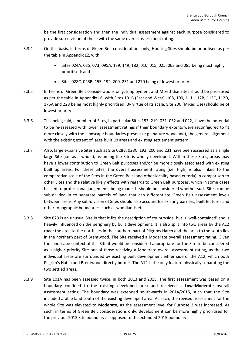be the first consideration and then the individual assessment against each purpose considered to provide sub-division of those with the same overall assessment rating.

- 3.3.4 On this basis, in terms of Green Belt considerations only, Housing Sites should be prioritised as per the table in Appendix L2, with:
	- Sites 024A, 035, 073, 095A, 139, 149, 182, 010, 015, 025, 063 and 085 being most highly prioritised; and
	- Sites 028C, 028B, 155, 192, 200, 231 and 270 being of lowest priority.
- 3.3.5 In terms of Green Belt considerations only, Employment and Mixed Use Sites should be prioritised as per the table in Appendix L6, with Sites 101B (East and West), 108, 109, 111, 112B, 112C, 112D, 175A and 228 being most highly prioritised. By virtue of its scale, Site 200 (Mixed Use) should be of lowest priority.
- 3.3.6 This being said, a number of Sites, in particular Sites 153, 219, 031, 032 and 022, have the potential to be re-assessed with lower assessment ratings if their boundary extents were reconfigured to fit more closely with the landscape boundaries present (e.g. mature woodland), the general alignment with the existing extent of large built up areas and existing settlement pattern.
- 3.3.7 Also, large expansive Sites such as Site 028B, 028C, 192, 200 and 231 have been assessed as a single large Site (i.e. as a whole), assuming the Site is wholly developed. Within these Sites, areas may have a lower contribution to Green Belt purposes and/or be more closely associated with existing built up areas. For these Sites, the overall assessment rating (i.e. High) is also linked to the comparative scale of the Sites in the Green Belt (and other locality based criteria) in comparison to other Sites and the relative likely effects with regards to Green Belt purposes, which in some cases has led to professional judgements being made. It should be considered whether such Sites can be sub-divided in to separate parcels of land that can differentiate Green Belt assessment levels between areas. Any sub-division of Sites should also account for existing barriers, built features and other topographic boundaries, such as woodlands etc.
- 3.3.8 Site 023 is an unusual Site in that it fits the description of countryside, but is 'well-contained' and is heavily influenced on the periphery by built development. It is also split into two areas by the A12 road; the area to the north lies in the southern part of Pilgrims Hatch and the area to the south lies in the northern part of Brentwood. The Site received a Moderate overall assessment rating. Given the landscape context of this Site it would be considered appropriate for the Site to be considered as a higher priority Site out of those receiving a Moderate overall assessment rating, as the two individual areas are surrounded by existing built development either side of the A12, which both Pilgrim's Hatch and Brentwood directly border. The A12 is the only feature physically separating the two settled areas.
- 3.3.9 Site 101A has been assessed twice, in both 2013 and 2015. The first assessment was based on a boundary confined to the existing developed area and received a **Low–Moderate** overall assessment rating. The boundary was extended southwards in 2014/2015, such that the Site included arable land south of the existing developed area. As such, the revised assessment for the whole Site was elevated to **Moderate**, as the assessment level for Purpose 3 was increased. As such, in terms of Green Belt considerations only, development can be more highly prioritised for the previous 2013 Site boundary as opposed to the extended 2015 boundary.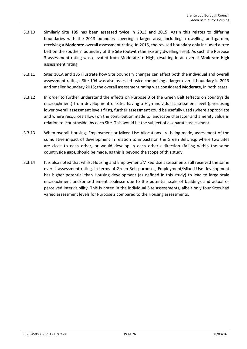- 3.3.10 Similarly Site 185 has been assessed twice in 2013 and 2015. Again this relates to differing boundaries with the 2013 boundary covering a larger area, including a dwelling and garden, receiving a **Moderate** overall assessment rating. In 2015, the revised boundary only included a tree belt on the southern boundary of the Site (outwith the existing dwelling area). As such the Purpose 3 assessment rating was elevated from Moderate to High, resulting in an overall **Moderate-High** assessment rating.
- 3.3.11 Sites 101A and 185 illustrate how Site boundary changes can affect both the individual and overall assessment ratings. Site 104 was also assessed twice comprising a larger overall boundary in 2013 and smaller boundary 2015; the overall assessment rating was considered **Moderate**, in both cases.
- 3.3.12 In order to further understand the effects on Purpose 3 of the Green Belt (effects on countryside encroachment) from development of Sites having a High individual assessment level (prioritising lower overall assessment levels first), further assessment could be usefully used (where appropriate and where resources allow) on the contribution made to landscape character and amenity value in relation to 'countryside' by each Site. This would be the subject of a separate assessment
- 3.3.13 When overall Housing, Employment or Mixed Use Allocations are being made, assessment of the cumulative impact of development in relation to impacts on the Green Belt, e.g. where two Sites are close to each other, or would develop in each other's direction (falling within the same countryside gap), should be made, as this is beyond the scope of this study.
- 3.3.14 It is also noted that whilst Housing and Employment/Mixed Use assessments still received the same overall assessment rating, in terms of Green Belt purposes, Employment/Mixed Use development has higher potential than Housing development (as defined in this study) to lead to large scale encroachment and/or settlement coalesce due to the potential scale of buildings and actual or perceived intervisibility. This is noted in the individual Site assessments, albeit only four Sites had varied assessment levels for Purpose 2 compared to the Housing assessments.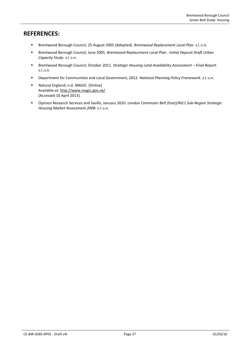## **REFERENCES:**

- Brentwood Borough Council, 25 August 2005 (Adopted). *Brentwood Replacement Local Plan.* s.l.:s.n.
- Brentwood Borough Council, June 2005. *Brentwood Replacement Local Plan - Initial Deposit Draft Urban Capacity Study.* s.l.:s.n.
- Brentwood Borough Council, October 2011. *Strategic Housing Land Availability Assessment Final Report.* s.l.:s.n.
- Department for Communities and Local Government, 2012. *National Planning Policy Framework.* s.l.:s.n.
- Natural England, n.d. *MAGIC.* [Online] Available at: http://www.magic.gov.uk/ [Accessed 10 April 2013].
- Opinion Research Services and Savills, January 2010. *London Commuter Belt (East)/M11 Sub-Region Strategic Housing Market Assessment 2008.* s.l.:s.n.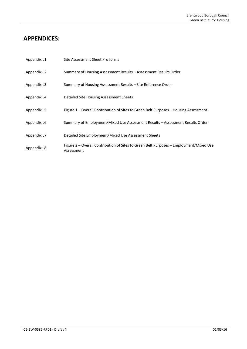## **APPENDICES:**

| Appendix L1 | Site Assessment Sheet Pro forma                                                                      |
|-------------|------------------------------------------------------------------------------------------------------|
| Appendix L2 | Summary of Housing Assessment Results – Assessment Results Order                                     |
| Appendix L3 | Summary of Housing Assessment Results – Site Reference Order                                         |
| Appendix L4 | Detailed Site Housing Assessment Sheets                                                              |
| Appendix L5 | Figure 1 – Overall Contribution of Sites to Green Belt Purposes – Housing Assessment                 |
| Appendix L6 | Summary of Employment/Mixed Use Assessment Results – Assessment Results Order                        |
| Appendix L7 | Detailed Site Employment/Mixed Use Assessment Sheets                                                 |
| Appendix L8 | Figure 2 – Overall Contribution of Sites to Green Belt Purposes – Employment/Mixed Use<br>Assessment |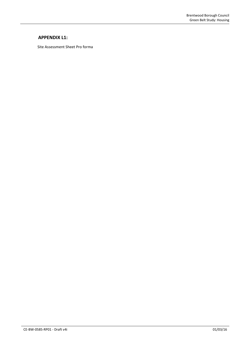## **APPENDIX L1:**

Site Assessment Sheet Pro forma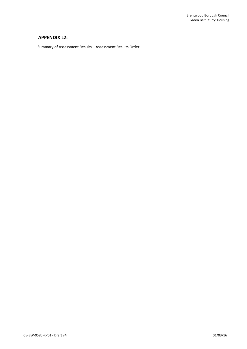## **APPENDIX L2:**

Summary of Assessment Results – Assessment Results Order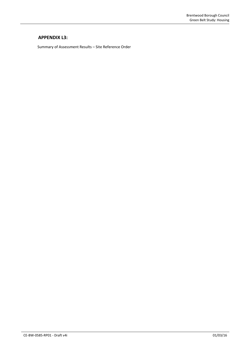## **APPENDIX L3:**

Summary of Assessment Results – Site Reference Order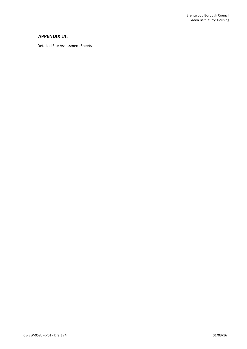## **APPENDIX L4:**

Detailed Site Assessment Sheets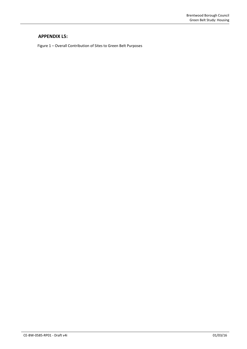## **APPENDIX L5:**

Figure 1 – Overall Contribution of Sites to Green Belt Purposes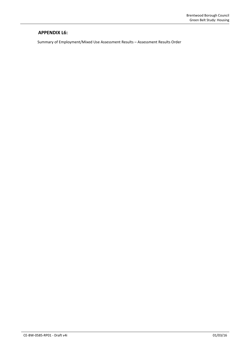## **APPENDIX L6:**

Summary of Employment/Mixed Use Assessment Results – Assessment Results Order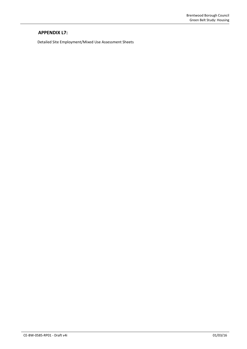## **APPENDIX L7:**

Detailed Site Employment/Mixed Use Assessment Sheets